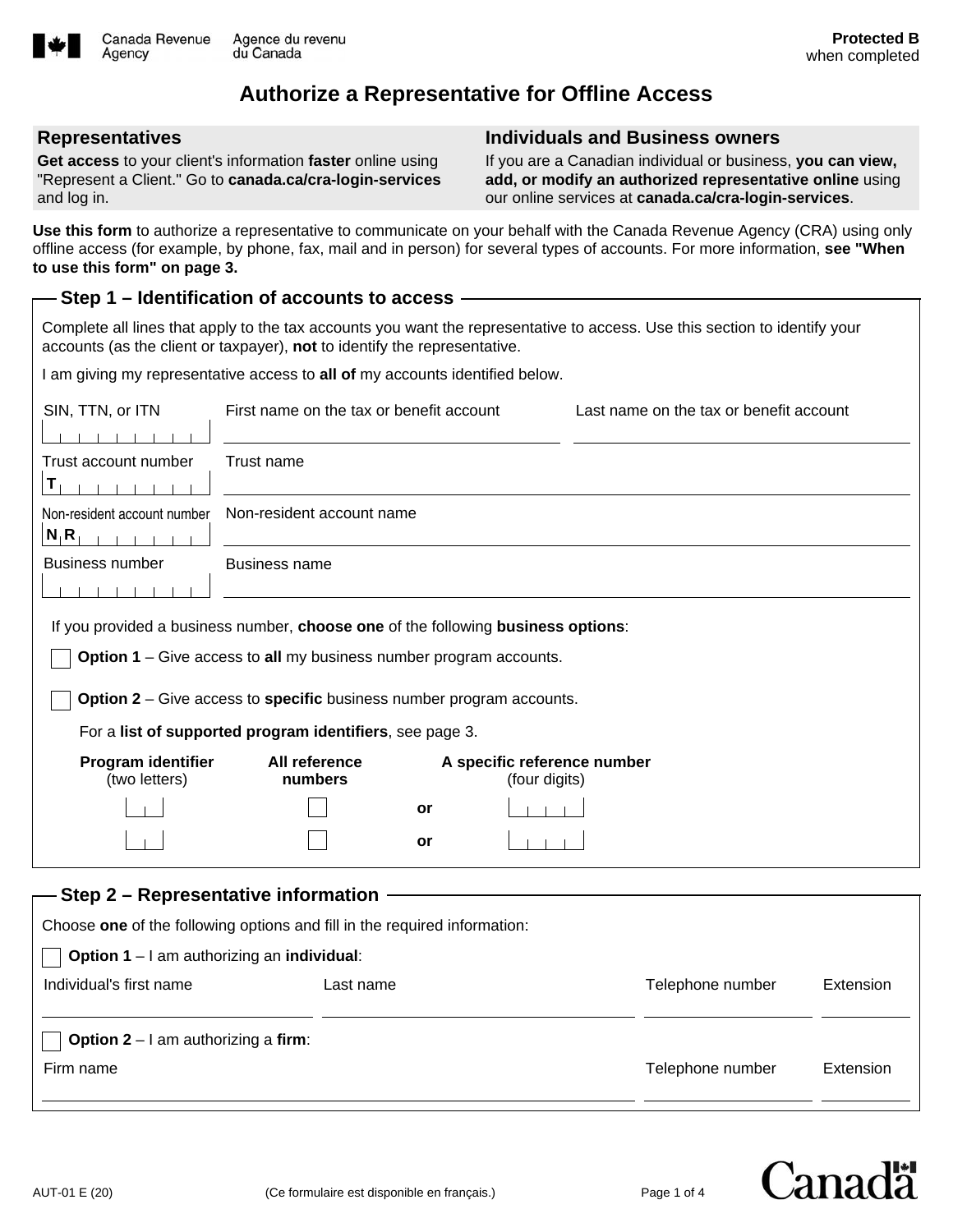

# **Authorize a Representative for Offline Access**

#### **Representatives**

Agency

**Get access** to your client's information **faster** online using "Represent a Client." Go to **canada.ca/cra-login-services** and log in.

#### **Individuals and Business owners**

If you are a Canadian individual or business, **you can view, add, or modify an authorized representative online** using our online services at **canada.ca/cra-login-services**.

**Use this form** to authorize a representative to communicate on your behalf with the Canada Revenue Agency (CRA) using only offline access (for example, by phone, fax, mail and in person) for several types of accounts. For more information, **see "When to use this form" on page 3.**

#### **Step 1 – Identification of accounts to access**

Complete all lines that apply to the tax accounts you want the representative to access. Use this section to identify your accounts (as the client or taxpayer), **not** to identify the representative.

I am giving my representative access to **all of** my accounts identified below.

| SIN, TTN, or ITN                                                                                                                                       | First name on the tax or benefit account                |    |               | Last name on the tax or benefit account |           |  |
|--------------------------------------------------------------------------------------------------------------------------------------------------------|---------------------------------------------------------|----|---------------|-----------------------------------------|-----------|--|
| Trust account number<br>$\mathsf{T}_1$                                                                                                                 | Trust name                                              |    |               |                                         |           |  |
| Non-resident account number<br>$N_1R_1$                                                                                                                | Non-resident account name                               |    |               |                                         |           |  |
| <b>Business number</b>                                                                                                                                 | <b>Business name</b>                                    |    |               |                                         |           |  |
| If you provided a business number, choose one of the following business options:<br>Option 1 – Give access to all my business number program accounts. |                                                         |    |               |                                         |           |  |
| Option 2 - Give access to specific business number program accounts.                                                                                   |                                                         |    |               |                                         |           |  |
| For a list of supported program identifiers, see page 3.                                                                                               |                                                         |    |               |                                         |           |  |
| <b>Program identifier</b><br>(two letters)                                                                                                             | All reference<br>A specific reference number<br>numbers |    | (four digits) |                                         |           |  |
|                                                                                                                                                        |                                                         | or |               |                                         |           |  |
|                                                                                                                                                        |                                                         | or |               |                                         |           |  |
| Step 2 – Representative information                                                                                                                    |                                                         |    |               |                                         |           |  |
| Choose one of the following options and fill in the required information:                                                                              |                                                         |    |               |                                         |           |  |
| Option 1 - I am authorizing an individual:                                                                                                             |                                                         |    |               |                                         |           |  |
| Individual's first name                                                                                                                                | Last name                                               |    |               | Telephone number                        | Extension |  |
| <b>Option 2</b> $-$ I am authorizing a firm:                                                                                                           |                                                         |    |               |                                         |           |  |
| Firm name                                                                                                                                              |                                                         |    |               | Telephone number                        | Extension |  |

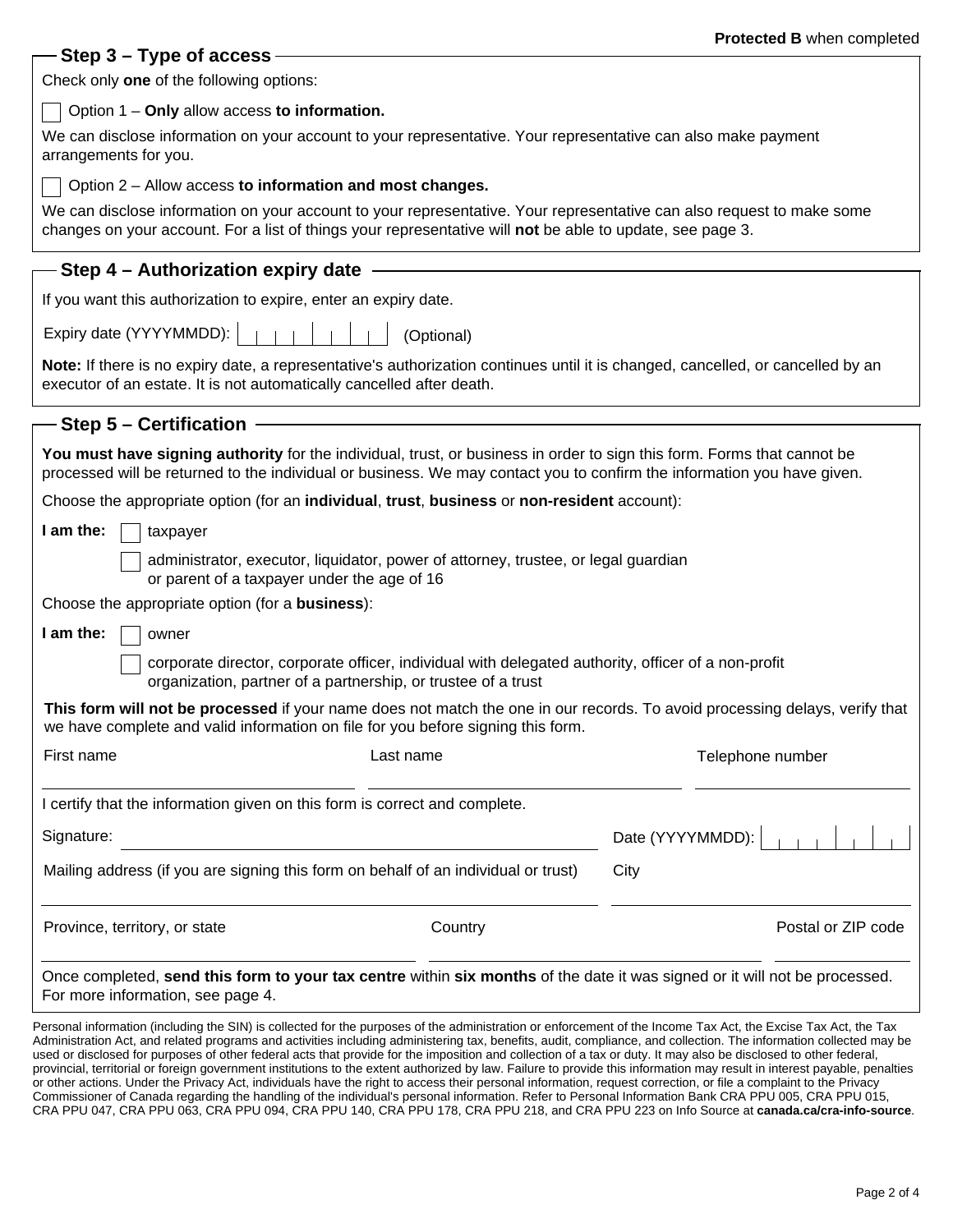| - Step 3 – Type of access <sub>:</sub>                                                                                                                                                                                                                                                                                                                                                                                                                                                                  | Protected B when completed |  |  |  |  |  |
|---------------------------------------------------------------------------------------------------------------------------------------------------------------------------------------------------------------------------------------------------------------------------------------------------------------------------------------------------------------------------------------------------------------------------------------------------------------------------------------------------------|----------------------------|--|--|--|--|--|
| Check only one of the following options:                                                                                                                                                                                                                                                                                                                                                                                                                                                                |                            |  |  |  |  |  |
| Option 1 - Only allow access to information.                                                                                                                                                                                                                                                                                                                                                                                                                                                            |                            |  |  |  |  |  |
| We can disclose information on your account to your representative. Your representative can also make payment                                                                                                                                                                                                                                                                                                                                                                                           |                            |  |  |  |  |  |
| arrangements for you.                                                                                                                                                                                                                                                                                                                                                                                                                                                                                   |                            |  |  |  |  |  |
| Option 2 - Allow access to information and most changes.                                                                                                                                                                                                                                                                                                                                                                                                                                                |                            |  |  |  |  |  |
| We can disclose information on your account to your representative. Your representative can also request to make some<br>changes on your account. For a list of things your representative will not be able to update, see page 3.                                                                                                                                                                                                                                                                      |                            |  |  |  |  |  |
| - Step 4 – Authorization expiry date -                                                                                                                                                                                                                                                                                                                                                                                                                                                                  |                            |  |  |  |  |  |
| If you want this authorization to expire, enter an expiry date.                                                                                                                                                                                                                                                                                                                                                                                                                                         |                            |  |  |  |  |  |
| Expiry date (YYYYMMDD):<br>(Optional)                                                                                                                                                                                                                                                                                                                                                                                                                                                                   |                            |  |  |  |  |  |
| Note: If there is no expiry date, a representative's authorization continues until it is changed, cancelled, or cancelled by an<br>executor of an estate. It is not automatically cancelled after death.                                                                                                                                                                                                                                                                                                |                            |  |  |  |  |  |
| - Step 5 – Certification                                                                                                                                                                                                                                                                                                                                                                                                                                                                                |                            |  |  |  |  |  |
| You must have signing authority for the individual, trust, or business in order to sign this form. Forms that cannot be<br>processed will be returned to the individual or business. We may contact you to confirm the information you have given.                                                                                                                                                                                                                                                      |                            |  |  |  |  |  |
| Choose the appropriate option (for an individual, trust, business or non-resident account):                                                                                                                                                                                                                                                                                                                                                                                                             |                            |  |  |  |  |  |
| I am the:<br>taxpayer                                                                                                                                                                                                                                                                                                                                                                                                                                                                                   |                            |  |  |  |  |  |
| administrator, executor, liquidator, power of attorney, trustee, or legal guardian<br>or parent of a taxpayer under the age of 16                                                                                                                                                                                                                                                                                                                                                                       |                            |  |  |  |  |  |
| Choose the appropriate option (for a <b>business</b> ):                                                                                                                                                                                                                                                                                                                                                                                                                                                 |                            |  |  |  |  |  |
| I am the:<br>owner                                                                                                                                                                                                                                                                                                                                                                                                                                                                                      |                            |  |  |  |  |  |
| corporate director, corporate officer, individual with delegated authority, officer of a non-profit<br>organization, partner of a partnership, or trustee of a trust                                                                                                                                                                                                                                                                                                                                    |                            |  |  |  |  |  |
| This form will not be processed if your name does not match the one in our records. To avoid processing delays, verify that<br>we have complete and valid information on file for you before signing this form.                                                                                                                                                                                                                                                                                         |                            |  |  |  |  |  |
| First name<br>Last name                                                                                                                                                                                                                                                                                                                                                                                                                                                                                 | Telephone number           |  |  |  |  |  |
| I certify that the information given on this form is correct and complete.                                                                                                                                                                                                                                                                                                                                                                                                                              |                            |  |  |  |  |  |
| Signature:                                                                                                                                                                                                                                                                                                                                                                                                                                                                                              | Date (YYYYMMDD):           |  |  |  |  |  |
| Mailing address (if you are signing this form on behalf of an individual or trust)                                                                                                                                                                                                                                                                                                                                                                                                                      | City                       |  |  |  |  |  |
| Province, territory, or state<br>Country                                                                                                                                                                                                                                                                                                                                                                                                                                                                | Postal or ZIP code         |  |  |  |  |  |
| Once completed, send this form to your tax centre within six months of the date it was signed or it will not be processed.<br>For more information, see page 4.                                                                                                                                                                                                                                                                                                                                         |                            |  |  |  |  |  |
| Personal information (including the SIN) is collected for the purposes of the administration or enforcement of the Income Tax Act, the Excise Tax Act, the Tax<br>Administration Act, and related programs and activities including administering tax, benefits, audit, compliance, and collection. The information collected may be<br>used or disclosed for purposes of other federal acts that provide for the imposition and collection of a tax or duty. It may also be disclosed to other federal |                            |  |  |  |  |  |

or other federal acts that provide for the imposition and collection of a tax or duty. It may provincial, territorial or foreign government institutions to the extent authorized by law. Failure to provide this information may result in interest payable, penalties or other actions. Under the Privacy Act, individuals have the right to access their personal information, request correction, or file a complaint to the Privacy Commissioner of Canada regarding the handling of the individual's personal information. Refer to Personal Information Bank CRA PPU 005, CRA PPU 015, CRA PPU 047, CRA PPU 063, CRA PPU 094, CRA PPU 140, CRA PPU 178, CRA PPU 218, and CRA PPU 223 on Info Source at **canada.ca/cra-info-source**.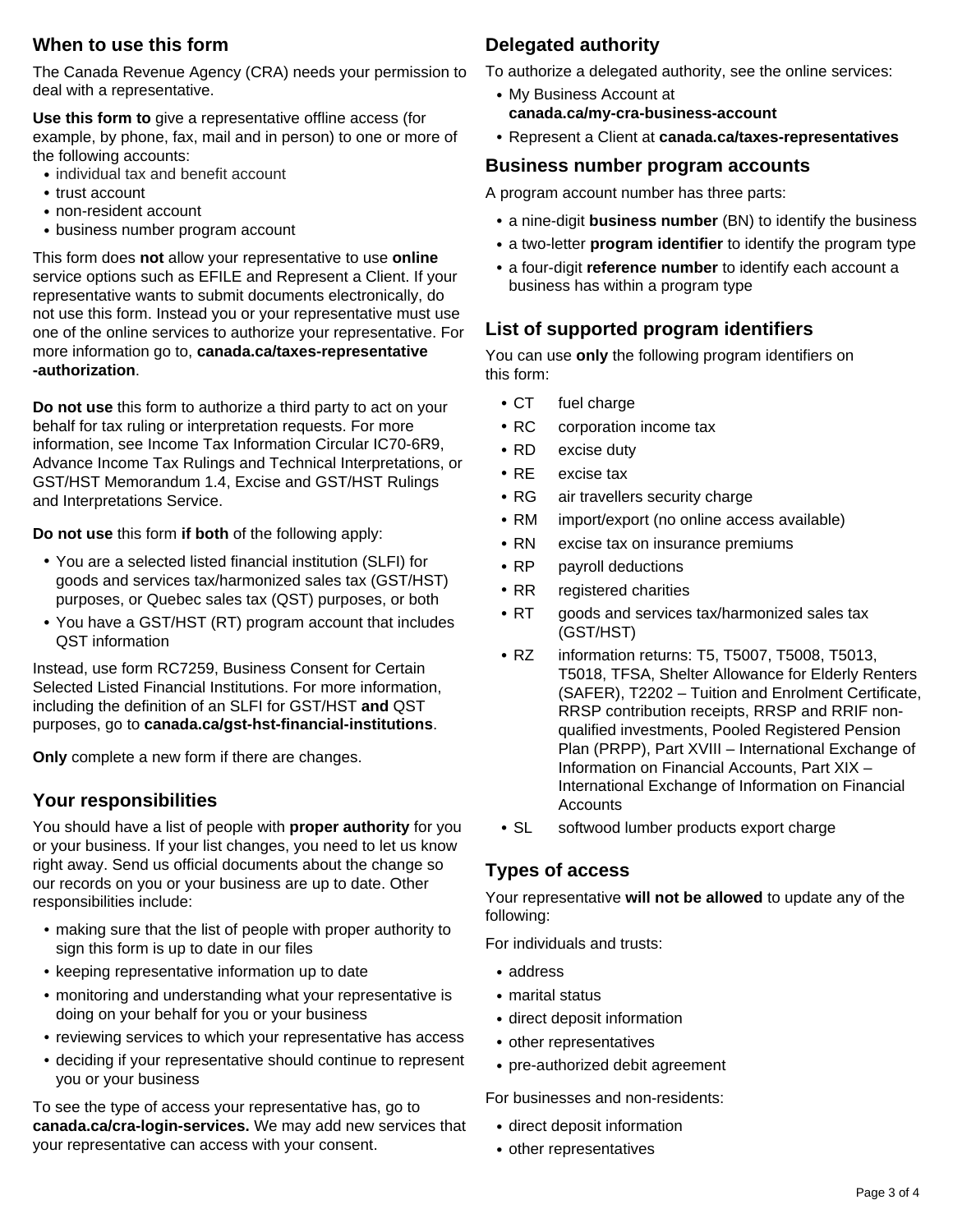### **When to use this form**

The Canada Revenue Agency (CRA) needs your permission to deal with a representative.

**Use this form to** give a representative offline access (for example, by phone, fax, mail and in person) to one or more of the following accounts:

- **•** individual tax and benefit account
- **•** trust account
- **•** non-resident account
- **•** business number program account

This form does **not** allow your representative to use **online** service options such as EFILE and Represent a Client. If your representative wants to submit documents electronically, do not use this form. Instead you or your representative must use one of the online services to authorize your representative. For more information go to, **canada.ca/taxes-representative -authorization**.

**Do not use** this form to authorize a third party to act on your behalf for tax ruling or interpretation requests. For more information, see Income Tax Information Circular IC70-6R9, Advance Income Tax Rulings and Technical Interpretations, or GST/HST Memorandum 1.4, Excise and GST/HST Rulings and Interpretations Service.

**Do not use** this form **if both** of the following apply:

- **•** You are a selected listed financial institution (SLFI) for goods and services tax/harmonized sales tax (GST/HST) purposes, or Quebec sales tax (QST) purposes, or both
- **•** You have a GST/HST (RT) program account that includes QST information

Instead, use form RC7259, Business Consent for Certain Selected Listed Financial Institutions. For more information, including the definition of an SLFI for GST/HST **and** QST purposes, go to **canada.ca/gst-hst-financial-institutions**.

**Only** complete a new form if there are changes.

### **Your responsibilities**

You should have a list of people with **proper authority** for you or your business. If your list changes, you need to let us know right away. Send us official documents about the change so our records on you or your business are up to date. Other responsibilities include:

- making sure that the list of people with proper authority to sign this form is up to date in our files
- keeping representative information up to date
- monitoring and understanding what your representative is doing on your behalf for you or your business
- reviewing services to which your representative has access
- deciding if your representative should continue to represent you or your business

To see the type of access your representative has, go to **canada.ca/cra-login-services.** We may add new services that your representative can access with your consent.

### **Delegated authority**

To authorize a delegated authority, see the online services:

- **•** My Business Account at **canada.ca/my-cra-business-account**
- **•** Represent a Client at **canada.ca/taxes-representatives**

### **Business number program accounts**

A program account number has three parts:

- **•** a nine-digit **business number** (BN) to identify the business
- **•** a two-letter **program identifier** to identify the program type
- **•** a four-digit **reference number** to identify each account a business has within a program type

## **List of supported program identifiers**

You can use **only** the following program identifiers on this form:

- **•** CT fuel charge
- **•** RC corporation income tax
- **•** RD excise duty
- **•** RE excise tax
- **•** RG air travellers security charge
- **•** RM import/export (no online access available)
- **•** RN excise tax on insurance premiums
- **•** RP payroll deductions
- **•** RR registered charities
- **•** RT goods and services tax/harmonized sales tax (GST/HST)
- **•** RZ information returns: T5, T5007, T5008, T5013, T5018, TFSA, Shelter Allowance for Elderly Renters (SAFER), T2202 – Tuition and Enrolment Certificate, RRSP contribution receipts, RRSP and RRIF nonqualified investments, Pooled Registered Pension Plan (PRPP), Part XVIII – International Exchange of Information on Financial Accounts, Part XIX – International Exchange of Information on Financial **Accounts**
- **•** SL softwood lumber products export charge

# **Types of access**

Your representative **will not be allowed** to update any of the following:

For individuals and trusts:

- **•** address
- **•** marital status
- **•** direct deposit information
- **•** other representatives
- **•** pre-authorized debit agreement

For businesses and non-residents:

- **•** direct deposit information
- **•** other representatives